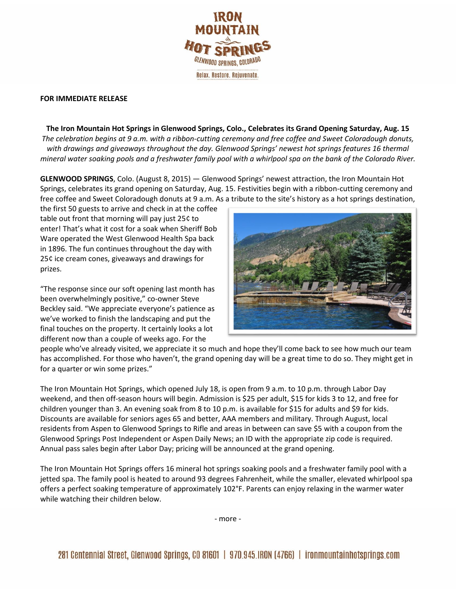

## **FOR IMMEDIATE RELEASE**

**The Iron Mountain Hot Springs in Glenwood Springs, Colo., Celebrates its Grand Opening Saturday, Aug. 15** *The celebration begins at 9 a.m. with a ribbon-cutting ceremony and free coffee and Sweet Coloradough donuts, with drawings and giveaways throughout the day. Glenwood Springs' newest hot springs features 16 thermal mineral water soaking pools and a freshwater family pool with a whirlpool spa on the bank of the Colorado River.*

**GLENWOOD SPRINGS**, Colo. (August 8, 2015) — Glenwood Springs' newest attraction, the Iron Mountain Hot Springs, celebrates its grand opening on Saturday, Aug. 15. Festivities begin with a ribbon-cutting ceremony and free coffee and Sweet Coloradough donuts at 9 a.m. As a tribute to the site's history as a hot springs destination,

the first 50 guests to arrive and check in at the coffee table out front that morning will pay just 25¢ to enter! That's what it cost for a soak when Sheriff Bob Ware operated the West Glenwood Health Spa back in 1896. The fun continues throughout the day with 25¢ ice cream cones, giveaways and drawings for prizes.

"The response since our soft opening last month has been overwhelmingly positive," co-owner Steve Beckley said. "We appreciate everyone's patience as we've worked to finish the landscaping and put the final touches on the property. It certainly looks a lot different now than a couple of weeks ago. For the



people who've already visited, we appreciate it so much and hope they'll come back to see how much our team has accomplished. For those who haven't, the grand opening day will be a great time to do so. They might get in for a quarter or win some prizes."

The Iron Mountain Hot Springs, which opened July 18, is open from 9 a.m. to 10 p.m. through Labor Day weekend, and then off-season hours will begin. Admission is \$25 per adult, \$15 for kids 3 to 12, and free for children younger than 3. An evening soak from 8 to 10 p.m. is available for \$15 for adults and \$9 for kids. Discounts are available for seniors ages 65 and better, AAA members and military. Through August, local residents from Aspen to Glenwood Springs to Rifle and areas in between can save \$5 with a coupon from the Glenwood Springs Post Independent or Aspen Daily News; an ID with the appropriate zip code is required. Annual pass sales begin after Labor Day; pricing will be announced at the grand opening.

The Iron Mountain Hot Springs offers 16 mineral hot springs soaking pools and a freshwater family pool with a jetted spa. The family pool is heated to around 93 degrees Fahrenheit, while the smaller, elevated whirlpool spa offers a perfect soaking temperature of approximately 102°F. Parents can enjoy relaxing in the warmer water while watching their children below.

- more -